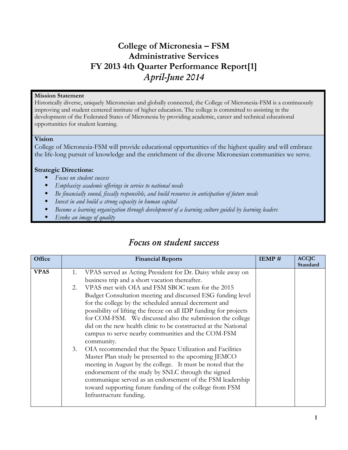# **College of Micronesia – FSM Administrative Services FY 2013 4th Quarter Performance Report[1]** *April-June 2014*

# **Mission Statement**

Historically diverse, uniquely Micronesian and globally connected, the College of Micronesia-FSM is a continuously improving and student centered institute of higher education. The college is committed to assisting in the development of the Federated States of Micronesia by providing academic, career and technical educational opportunities for student learning.

#### **Vision**

College of Micronesia-FSM will provide educational opportunities of the highest quality and will embrace the life-long pursuit of knowledge and the enrichment of the diverse Micronesian communities we serve.

# **Strategic Directions:**

- *Focus on student success*
- *Emphasize academic offerings in service to national needs*
- *Be financially sound, fiscally responsible, and build resources in anticipation of future needs*
- *Invest in and build a strong capacity in human capital*
- *Become a learning organization through development of a learning culture guided by learning leaders*
- *Evoke an image of quality*

| Office      | <b>Financial Reports</b>                                                                                                                                                                                                                                                                                                                                                                                                                                                                                                                                                                                                                                                                                                                                                                                                                                                                                                                                | IEMP# | <b>ACCJC</b><br>Standard |
|-------------|---------------------------------------------------------------------------------------------------------------------------------------------------------------------------------------------------------------------------------------------------------------------------------------------------------------------------------------------------------------------------------------------------------------------------------------------------------------------------------------------------------------------------------------------------------------------------------------------------------------------------------------------------------------------------------------------------------------------------------------------------------------------------------------------------------------------------------------------------------------------------------------------------------------------------------------------------------|-------|--------------------------|
| <b>VPAS</b> | VPAS served as Acting President for Dr. Daisy while away on<br>1.<br>business trip and a short vacation thereafter.<br>VPAS met with OIA and FSM SBOC team for the 2015<br>2.<br>Budget Consultation meeting and discussed ESG funding level<br>for the college by the scheduled annual decrement and<br>possibility of lifting the freeze on all IDP funding for projects<br>for COM-FSM. We discussed also the submission the college<br>did on the new health clinic to be constructed at the National<br>campus to serve nearby communities and the COM-FSM<br>community.<br>3.<br>OIA recommended that the Space Utilization and Facilities<br>Master Plan study be presented to the upcoming JEMCO<br>meeting in August by the college. It must be noted that the<br>endorsement of the study by SNLC through the signed<br>communique served as an endorsement of the FSM leadership<br>toward supporting future funding of the college from FSM |       |                          |
|             | Infrastructure funding.                                                                                                                                                                                                                                                                                                                                                                                                                                                                                                                                                                                                                                                                                                                                                                                                                                                                                                                                 |       |                          |

# *Focus on student success*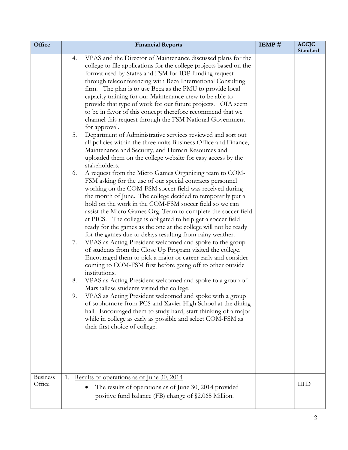| Office                    | <b>Financial Reports</b>                                                                                                                                                                                                                                                                                                                                                                                                                                                                                                                                                                                                                                                                                                                                                                                                                                                                                                                                                                                                                                                                                                                                                                                                                                                                                                                                                                                                                                                                                                                                                                                                                                                                                                                                                                                                                                                                                                                                                                                                                                                                                                                                             | IEMP# | <b>ACCJC</b><br>Standard |
|---------------------------|----------------------------------------------------------------------------------------------------------------------------------------------------------------------------------------------------------------------------------------------------------------------------------------------------------------------------------------------------------------------------------------------------------------------------------------------------------------------------------------------------------------------------------------------------------------------------------------------------------------------------------------------------------------------------------------------------------------------------------------------------------------------------------------------------------------------------------------------------------------------------------------------------------------------------------------------------------------------------------------------------------------------------------------------------------------------------------------------------------------------------------------------------------------------------------------------------------------------------------------------------------------------------------------------------------------------------------------------------------------------------------------------------------------------------------------------------------------------------------------------------------------------------------------------------------------------------------------------------------------------------------------------------------------------------------------------------------------------------------------------------------------------------------------------------------------------------------------------------------------------------------------------------------------------------------------------------------------------------------------------------------------------------------------------------------------------------------------------------------------------------------------------------------------------|-------|--------------------------|
|                           | VPAS and the Director of Maintenance discussed plans for the<br>4.<br>college to file applications for the college projects based on the<br>format used by States and FSM for IDP funding request<br>through teleconferencing with Beca International Consulting<br>firm. The plan is to use Beca as the PMU to provide local<br>capacity training for our Maintenance crew to be able to<br>provide that type of work for our future projects. OIA seem<br>to be in favor of this concept therefore recommend that we<br>channel this request through the FSM National Government<br>for approval.<br>Department of Administrative services reviewed and sort out<br>5.<br>all policies within the three units Business Office and Finance,<br>Maintenance and Security, and Human Resources and<br>uploaded them on the college website for easy access by the<br>stakeholders.<br>A request from the Micro Games Organizing team to COM-<br>6.<br>FSM asking for the use of our special contracts personnel<br>working on the COM-FSM soccer field was received during<br>the month of June. The college decided to temporarily put a<br>hold on the work in the COM-FSM soccer field so we can<br>assist the Micro Games Org. Team to complete the soccer field<br>at PICS. The college is obligated to help get a soccer field<br>ready for the games as the one at the college will not be ready<br>for the games due to delays resulting from rainy weather.<br>VPAS as Acting President welcomed and spoke to the group<br>7.<br>of students from the Close Up Program visited the college.<br>Encouraged them to pick a major or career early and consider<br>coming to COM-FSM first before going off to other outside<br>institutions.<br>VPAS as Acting President welcomed and spoke to a group of<br>8.<br>Marshallese students visited the college.<br>VPAS as Acting President welcomed and spoke with a group<br>9.<br>of sophomore from PCS and Xavier High School at the dining<br>hall. Encouraged them to study hard, start thinking of a major<br>while in college as early as possible and select COM-FSM as<br>their first choice of college. |       |                          |
| <b>Business</b><br>Office | Results of operations as of June 30, 2014<br>1.<br>The results of operations as of June 30, 2014 provided<br>positive fund balance (FB) change of \$2.065 Million.                                                                                                                                                                                                                                                                                                                                                                                                                                                                                                                                                                                                                                                                                                                                                                                                                                                                                                                                                                                                                                                                                                                                                                                                                                                                                                                                                                                                                                                                                                                                                                                                                                                                                                                                                                                                                                                                                                                                                                                                   |       | III.D                    |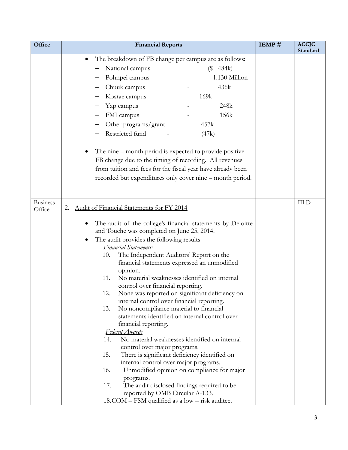| Office          | <b>Financial Reports</b>                                                                        | IEMP# | <b>ACCJC</b><br>Standard |
|-----------------|-------------------------------------------------------------------------------------------------|-------|--------------------------|
|                 | The breakdown of FB change per campus are as follows:                                           |       |                          |
|                 | National campus<br>(\$484k)                                                                     |       |                          |
|                 | Pohnpei campus<br>1.130 Million                                                                 |       |                          |
|                 | Chuuk campus<br>436k                                                                            |       |                          |
|                 | Kosrae campus<br>169k                                                                           |       |                          |
|                 | 248k<br>Yap campus                                                                              |       |                          |
|                 | FMI campus<br>156k                                                                              |       |                          |
|                 | Other programs/grant -<br>457k                                                                  |       |                          |
|                 | Restricted fund<br>(47k)                                                                        |       |                          |
|                 |                                                                                                 |       |                          |
|                 | The nine – month period is expected to provide positive                                         |       |                          |
|                 | FB change due to the timing of recording. All revenues                                          |       |                          |
|                 | from tuition and fees for the fiscal year have already been                                     |       |                          |
|                 | recorded but expenditures only cover nine – month period.                                       |       |                          |
|                 |                                                                                                 |       |                          |
| <b>Business</b> |                                                                                                 |       |                          |
| Office          | Audit of Financial Statements for FY 2014<br>2.                                                 |       | <b>III.D</b>             |
|                 |                                                                                                 |       |                          |
|                 | The audit of the college's financial statements by Deloitte                                     |       |                          |
|                 | and Touche was completed on June 25, 2014.                                                      |       |                          |
|                 | The audit provides the following results:                                                       |       |                          |
|                 | <b>Financial Statements:</b><br>The Independent Auditors' Report on the<br>10.                  |       |                          |
|                 | financial statements expressed an unmodified                                                    |       |                          |
|                 | opinion.                                                                                        |       |                          |
|                 | No material weaknesses identified on internal<br>11.                                            |       |                          |
|                 | control over financial reporting.                                                               |       |                          |
|                 | None was reported on significant deficiency on<br>12.                                           |       |                          |
|                 | internal control over financial reporting.                                                      |       |                          |
|                 | No noncompliance material to financial<br>13.<br>statements identified on internal control over |       |                          |
|                 | financial reporting.                                                                            |       |                          |
|                 | Federal Awards                                                                                  |       |                          |
|                 | No material weaknesses identified on internal<br>14.                                            |       |                          |
|                 | control over major programs.                                                                    |       |                          |
|                 | 15.<br>There is significant deficiency identified on                                            |       |                          |
|                 | internal control over major programs.                                                           |       |                          |
|                 | 16.<br>Unmodified opinion on compliance for major                                               |       |                          |
|                 | programs.<br>17.<br>The audit disclosed findings required to be                                 |       |                          |
|                 | reported by OMB Circular A-133.                                                                 |       |                          |
|                 | 18.COM – FSM qualified as a low – risk auditee.                                                 |       |                          |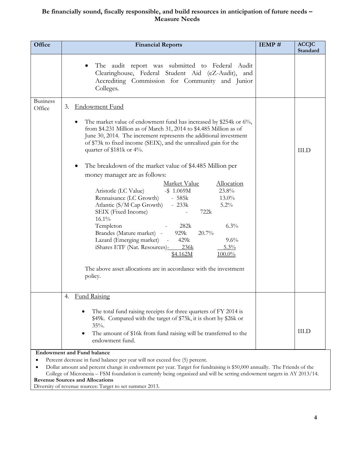# **Be financially sound, fiscally responsible, and build resources in anticipation of future needs – Measure Needs**

| Office                    | <b>Financial Reports</b>                                                                                                                                                                                                                                                                                                                                                                                                                                                                                    | IEMP# | <b>ACCJC</b><br>Standard |
|---------------------------|-------------------------------------------------------------------------------------------------------------------------------------------------------------------------------------------------------------------------------------------------------------------------------------------------------------------------------------------------------------------------------------------------------------------------------------------------------------------------------------------------------------|-------|--------------------------|
|                           | The audit report was submitted to Federal Audit<br>Clearinghouse, Federal Student Aid (eZ-Audit), and<br>Accrediting Commission for Community and Junior<br>Colleges.                                                                                                                                                                                                                                                                                                                                       |       |                          |
| <b>Business</b><br>Office | <b>Endowment Fund</b><br>3.                                                                                                                                                                                                                                                                                                                                                                                                                                                                                 |       |                          |
|                           | The market value of endowment fund has increased by \$254k or 6%,<br>٠<br>from \$4.231 Million as of March 31, 2014 to \$4.485 Million as of<br>June 30, 2014. The increment represents the additional investment<br>of \$73k to fixed income (SEIX), and the unrealized gain for the<br>quarter of $$181k$ or $4\%$ .<br>The breakdown of the market value of \$4.485 Million per<br>$\bullet$<br>money manager are as follows:                                                                            |       | <b>III.D</b>             |
|                           | Market Value<br>Allocation<br>23.8%<br>Aristotle (LC Value)<br>$-$ \$ 1.069M<br>$-585k$<br>Rennaisance (LC Growth)<br>$13.0\%$<br>Atlantic (S/M Cap Growth)<br>5.2%<br>$-233k$<br>SEIX (Fixed Income)<br>722k<br>$16.1\%$<br>282k<br>6.3%<br>Templeton<br>Brandes (Mature market) -<br>929k<br>20.7%<br>Lazard (Emerging market) -<br>9.6%<br>429k<br>iShares ETF (Nat. Resources)-236k<br>$5.3\%$<br>\$4.162M<br>$100.0\%$<br>The above asset allocations are in accordance with the investment<br>policy. |       |                          |
|                           | <b>Fund Raising</b><br>4.                                                                                                                                                                                                                                                                                                                                                                                                                                                                                   |       |                          |
|                           | The total fund raising receipts for three quarters of FY 2014 is<br>\$49k. Compared with the target of \$75k, it is short by \$26k or<br>$35%$ .<br>The amount of \$16k from fund raising will be transferred to the<br>$\bullet$<br>endowment fund.<br><b>Endowment and Fund balance</b>                                                                                                                                                                                                                   |       | <b>III.D</b>             |

Percent decrease in fund balance per year will not exceed five (5) percent.

 Dollar amount and percent change in endowment per year. Target for fundraising is \$50,000 annually. The Friends of the College of Micronesia – FSM foundation is currently being organized and will be setting endowment targets in AY 2013/14. **Revenue Sources and Allocations**

Diversity of revenue sources: Target to set summer 2013.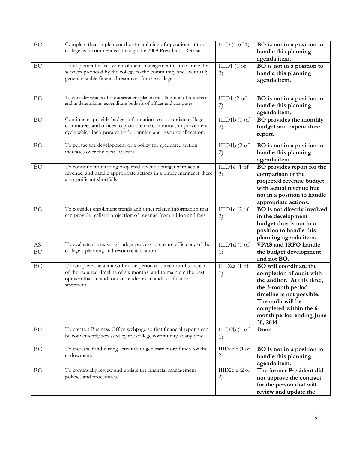| <b>BO</b>               | Complete then implement the streamlining of operations at the<br>college as recommended through the 2009 President's Retreat.                                                                                    | HID(1 of 1)                      | BO is not in a position to<br>handle this planning<br>agenda item.                                                                                                                                                           |
|-------------------------|------------------------------------------------------------------------------------------------------------------------------------------------------------------------------------------------------------------|----------------------------------|------------------------------------------------------------------------------------------------------------------------------------------------------------------------------------------------------------------------------|
| <b>BO</b>               | To implement effective enrollment management to maximize the<br>services provided by the college to the community and eventually<br>generate stable financial resources for the college.                         | $IIID1$ (1 of<br>2)              | BO is not in a position to<br>handle this planning<br>agenda item.                                                                                                                                                           |
| <b>BO</b>               | To consider results of the assessment plan in the allocation of resources<br>and in determining expenditure budgets of offices and campuses.                                                                     | IIID1(2 of<br>2)                 | BO is not in a position to<br>handle this planning<br>agenda item.                                                                                                                                                           |
| <b>BO</b>               | Continue to provide budget information to appropriate college<br>committees and offices to promote the continuous improvement<br>cycle which incorporates both planning and resource allocation.                 | IIID1b(1 of<br>2)                | <b>BO</b> provides the monthly<br>budget and expenditure<br>report.                                                                                                                                                          |
| <b>BO</b>               | To pursue the development of a policy for graduated tuition<br>increases over the next 10 years.                                                                                                                 | IIID1b(2 of<br>2)                | BO is not in a position to<br>handle this planning<br>agenda item.                                                                                                                                                           |
| <b>BO</b>               | To continue monitoring projected revenue budget with actual<br>revenue, and handle appropriate actions in a timely manner if there<br>are significant shortfalls.                                                | IIID1c (1 of<br>2)               | BO provides report for the<br>comparison of the<br>projected revenue budget<br>with actual revenue but<br>not in a position to handle<br>appropriate actions.                                                                |
| <b>BO</b>               | To consider enrollment trends and other related information that<br>can provide realistic projection of revenue from tuition and fees.                                                                           | IIID1c (2 of<br>2)               | BO is not directly involved<br>in the development<br>budget thus is not in a<br>position to handle this<br>planning agenda item.                                                                                             |
| ${\rm AS}$<br><b>BO</b> | To evaluate the existing budget process to ensure efficiency of the<br>college's planning and resource allocation.                                                                                               | $\overline{III}$ D1d (1 of<br>1) | <b>VPAS and IRPO handle</b><br>the budget development<br>and not BO.                                                                                                                                                         |
| <b>BO</b>               | To complete the audit within the period of three months instead<br>of the required timeline of six months, and to maintain the best<br>opinion that an auditor can render in an audit of financial<br>statement. | IIID2a (1 of<br>1)               | BO will coordinate the<br>completion of audit with<br>the auditor. At this time,<br>the 3-month period<br>timeline is not possible.<br>The audit will be<br>completed within the 6-<br>month period ending June<br>30, 2014. |
| <b>BO</b>               | To create a Business Office webpage so that financial reports can<br>be conveniently accessed by the college community at any time.                                                                              | IIID2b(1 of<br>1)                | Done.                                                                                                                                                                                                                        |
| BO                      | To increase fund raising activities to generate more funds for the<br>endowment.                                                                                                                                 | IIID2c-e (1 of<br>2)             | BO is not in a position to<br>handle this planning<br>agenda item.                                                                                                                                                           |
| <b>BO</b>               | To continually review and update the financial management<br>policies and procedures.                                                                                                                            | IIID2c-e (2 of<br>2)             | The former President did<br>not approve the contract<br>for the person that will<br>review and update the                                                                                                                    |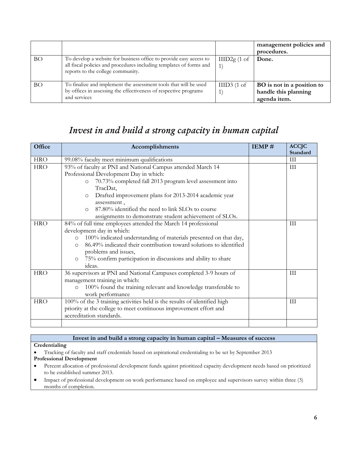|           |                                                                                                                                                                                |               | management policies and<br>procedures.                             |
|-----------|--------------------------------------------------------------------------------------------------------------------------------------------------------------------------------|---------------|--------------------------------------------------------------------|
| BO.       | To develop a website for business office to provide easy access to<br>all fiscal policies and procedures including templates of forms and<br>reports to the college community. | IIID2g(1 of   | Done.                                                              |
| <b>BO</b> | To finalize and implement the assessment tools that will be used<br>by offices in assessing the effectiveness of respective programs<br>and services                           | $IIID3$ (1 of | BO is not in a position to<br>handle this planning<br>agenda item. |

# *Invest in and build a strong capacity in human capital*

| Office     | Accomplishments                                                               | IEMP# | <b>ACCJC</b><br>Standard |
|------------|-------------------------------------------------------------------------------|-------|--------------------------|
| <b>HRO</b> | 99.08% faculty meet minimum qualifications                                    |       | H                        |
| <b>HRO</b> | 93% of faculty at PNI and National Campus attended March 14                   |       | III                      |
|            | Professional Development Day in which:                                        |       |                          |
|            | 70.73% completed fall 2013 program level assessment into<br>$\circ$           |       |                          |
|            | TracDat,                                                                      |       |                          |
|            | Drafted improvement plans for 2013-2014 academic year<br>O                    |       |                          |
|            | assessment,                                                                   |       |                          |
|            | 87.80% identified the need to link SLOs to course<br>$\Omega$                 |       |                          |
|            | assignments to demonstrate student achievement of SLOs.                       |       |                          |
| <b>HRO</b> | 84% of full time employees attended the March 14 professional                 |       | III                      |
|            | development day in which:                                                     |       |                          |
|            | 100% indicated understanding of materials presented on that day,<br>$\circ$   |       |                          |
|            | 86.49% indicated their contribution toward solutions to identified<br>$\circ$ |       |                          |
|            | problems and issues,                                                          |       |                          |
|            | 75% confirm participation in discussions and ability to share<br>$\circ$      |       |                          |
|            | ideas.                                                                        |       |                          |
| <b>HRO</b> | 36 supervisors at PNI and National Campuses completed 3-9 hours of            |       | $\rm III$                |
|            | management training in which:                                                 |       |                          |
|            | 100% found the training relevant and knowledge transferable to<br>$\circ$     |       |                          |
|            | work performance                                                              |       |                          |
| <b>HRO</b> | 100% of the 3 training activities held is the results of identified high      |       | $\rm III$                |
|            | priority at the college to meet continuous improvement effort and             |       |                          |
|            | accreditation standards.                                                      |       |                          |
|            |                                                                               |       |                          |

#### **Invest in and build a strong capacity in human capital – Measures of success**

#### **Credentialing**

- Tracking of faculty and staff credentials based on aspirational credentialing to be set by September 2013 **Professional Development**
- Percent allocation of professional development funds against prioritized capacity development needs based on prioritized to be established summer 2013.
- Impact of professional development on work performance based on employee and supervisors survey within three (3) months of completion.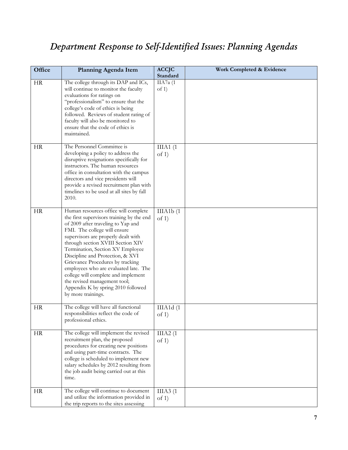# *Department Response to Self-Identified Issues: Planning Agendas*

| Office    | Planning Agenda Item                                                                                                                                                                                                                                                                                                                                                                                                                                                                                                        | <b>ACCJC</b><br>Standard | Work Completed & Evidence |
|-----------|-----------------------------------------------------------------------------------------------------------------------------------------------------------------------------------------------------------------------------------------------------------------------------------------------------------------------------------------------------------------------------------------------------------------------------------------------------------------------------------------------------------------------------|--------------------------|---------------------------|
| <b>HR</b> | The college through its DAP and ICs,<br>will continue to monitor the faculty<br>evaluations for ratings on<br>"professionalism" to ensure that the<br>college's code of ethics is being<br>followed. Reviews of student rating of<br>faculty will also be monitored to<br>ensure that the code of ethics is<br>maintained.                                                                                                                                                                                                  | IIA7a (1<br>of $1)$      |                           |
| <b>HR</b> | The Personnel Committee is<br>developing a policy to address the<br>disruptive resignations specifically for<br>instructors. The human resources<br>office in consultation with the campus<br>directors and vice presidents will<br>provide a revised recruitment plan with<br>timelines to be used at all sites by fall<br>2010.                                                                                                                                                                                           | IIIA1(1)<br>of 1)        |                           |
| HR        | Human resources office will complete<br>the first supervisors training by the end<br>of 2009 after traveling to Yap and<br>FMI. The college will ensure<br>supervisors are properly dealt with<br>through section XVIII Section XIV<br>Termination, Section XV Employee<br>Discipline and Protection, & XVI<br>Grievance Procedures by tracking<br>employees who are evaluated late. The<br>college will complete and implement<br>the revised management tool;<br>Appendix K by spring 2010 followed<br>by more trainings. | IIIA1b(1)<br>of 1)       |                           |
| HR        | The college will have all functional<br>responsibilities reflect the code of<br>professional ethics.                                                                                                                                                                                                                                                                                                                                                                                                                        | IIIA1d(1)<br>of $1)$     |                           |
| HR        | The college will implement the revised<br>recruitment plan, the proposed<br>procedures for creating new positions<br>and using part-time contracts. The<br>college is scheduled to implement new<br>salary schedules by 2012 resulting from<br>the job audit being carried out at this<br>time.                                                                                                                                                                                                                             | IIIA2(1)<br>of 1)        |                           |
| HR        | The college will continue to document<br>and utilize the information provided in<br>the trip reports to the sites assessing                                                                                                                                                                                                                                                                                                                                                                                                 | IIIA3(1)<br>of 1)        |                           |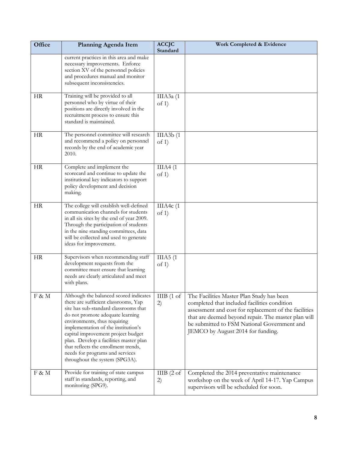| Office    | <b>Planning Agenda Item</b>                                                                                                                                                                                                                                                                                                                                                                                                     | <b>ACCJC</b><br>Standard                   | Work Completed & Evidence                                                                                                                                                                                                                                                                     |
|-----------|---------------------------------------------------------------------------------------------------------------------------------------------------------------------------------------------------------------------------------------------------------------------------------------------------------------------------------------------------------------------------------------------------------------------------------|--------------------------------------------|-----------------------------------------------------------------------------------------------------------------------------------------------------------------------------------------------------------------------------------------------------------------------------------------------|
|           | current practices in this area and make<br>necessary improvements. Enforce<br>section XV of the personnel policies<br>and procedures manual and monitor<br>subsequent inconsistencies.                                                                                                                                                                                                                                          |                                            |                                                                                                                                                                                                                                                                                               |
| <b>HR</b> | Training will be provided to all<br>personnel who by virtue of their<br>positions are directly involved in the<br>recruitment process to ensure this<br>standard is maintained.                                                                                                                                                                                                                                                 | IIIA3a (1<br>of $1)$                       |                                                                                                                                                                                                                                                                                               |
| <b>HR</b> | The personnel committee will research<br>and recommend a policy on personnel<br>records by the end of academic year<br>2010.                                                                                                                                                                                                                                                                                                    | IIIA3b(1)<br>of 1)                         |                                                                                                                                                                                                                                                                                               |
| <b>HR</b> | Complete and implement the<br>scorecard and continue to update the<br>institutional key indicators to support<br>policy development and decision<br>making.                                                                                                                                                                                                                                                                     | IIIA4(1)<br>of 1)                          |                                                                                                                                                                                                                                                                                               |
| HR        | The college will establish well-defined<br>communication channels for students<br>in all six sites by the end of year 2009.<br>Through the participation of students<br>in the nine standing committees, data<br>will be collected and used to generate<br>ideas for improvement.                                                                                                                                               | IIIA4 $c(1)$<br>of 1)                      |                                                                                                                                                                                                                                                                                               |
| <b>HR</b> | Supervisors when recommending staff<br>development requests from the<br>committee must ensure that learning<br>needs are clearly articulated and meet<br>with plans.                                                                                                                                                                                                                                                            | $\overline{II}$ IIA5 $(1)$<br>of 1)        |                                                                                                                                                                                                                                                                                               |
| F & M     | Although the balanced scored indicates<br>there are sufficient classrooms, Yap<br>site has sub-standard classrooms that<br>do not promote adequate learning<br>environments, thus requiring<br>implementation of the institution's<br>capital improvement project budget<br>plan. Develop a facilities master plan<br>that reflects the enrollment trends,<br>needs for programs and services<br>throughout the system (SPG3A). | IIIB(1 <sub>o</sub> t <sub>1</sub> )<br>2) | The Facilities Master Plan Study has been<br>completed that included facilities condition<br>assessment and cost for replacement of the facilities<br>that are deemed beyond repair. The master plan will<br>be submitted to FSM National Government and<br>JEMCO by August 2014 for funding. |
| F & M     | Provide for training of state campus<br>staff in standards, reporting, and<br>monitoring (SPG9).                                                                                                                                                                                                                                                                                                                                | IIIB(2 of<br>2)                            | Completed the 2014 preventative maintenance<br>workshop on the week of April 14-17. Yap Campus<br>supervisors will be scheduled for soon.                                                                                                                                                     |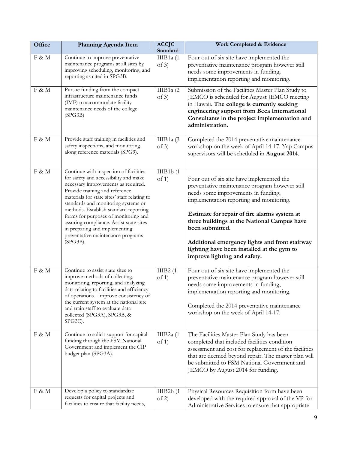| Office | Planning Agenda Item                                                                                                                                                                                                                                                                                                                                                                                                                                             | <b>ACCJC</b><br>Standard | Work Completed & Evidence                                                                                                                                                                                                                                                                                                                                                                                                        |
|--------|------------------------------------------------------------------------------------------------------------------------------------------------------------------------------------------------------------------------------------------------------------------------------------------------------------------------------------------------------------------------------------------------------------------------------------------------------------------|--------------------------|----------------------------------------------------------------------------------------------------------------------------------------------------------------------------------------------------------------------------------------------------------------------------------------------------------------------------------------------------------------------------------------------------------------------------------|
| F & M  | Continue to improve preventative<br>maintenance programs at all sites by<br>improving scheduling, monitoring, and<br>reporting as cited in SPG3B.                                                                                                                                                                                                                                                                                                                | IIIB1 $a(1)$<br>of $3)$  | Four out of six site have implemented the<br>preventative maintenance program however still<br>needs some improvements in funding,<br>implementation reporting and monitoring.                                                                                                                                                                                                                                                   |
| F & M  | Pursue funding from the compact<br>infrastructure maintenance funds<br>(IMF) to accommodate facility<br>maintenance needs of the college<br>(SPG3B)                                                                                                                                                                                                                                                                                                              | IIIB1a $(2)$<br>of 3)    | Submission of the Facilities Master Plan Study to<br>JEMCO is scheduled for August JEMCO meeting<br>in Hawaii. The college is currently seeking<br>engineering support from Beca International<br>Consultants in the project implementation and<br>administration.                                                                                                                                                               |
| F & M  | Provide staff training in facilities and<br>safety inspections, and monitoring<br>along reference materials (SPG9).                                                                                                                                                                                                                                                                                                                                              | IIIB1a $(3)$<br>of $3)$  | Completed the 2014 preventative maintenance<br>workshop on the week of April 14-17. Yap Campus<br>supervisors will be scheduled in August 2014.                                                                                                                                                                                                                                                                                  |
| F & M  | Continue with inspection of facilities<br>for safety and accessibility and make<br>necessary improvements as required.<br>Provide training and reference<br>materials for state sites' staff relating to<br>standards and monitoring systems or<br>methods. Establish standard reporting<br>forms for purposes of monitoring and<br>assuring compliance. Assist state sites<br>in preparing and implementing<br>preventative maintenance programs<br>$(SPG3B)$ . | IIIB1b(1)<br>of 1)       | Four out of six site have implemented the<br>preventative maintenance program however still<br>needs some improvements in funding,<br>implementation reporting and monitoring.<br>Estimate for repair of fire alarms system at<br>three buildings at the National Campus have<br>been submitted.<br>Additional emergency lights and front stairway<br>lighting have been installed at the gym to<br>improve lighting and safety. |
| F & M  | Continue to assist state sites to<br>improve methods of collecting,<br>monitoring, reporting, and analyzing<br>data relating to facilities and efficiency<br>of operations. Improve consistency of<br>the current system at the national site<br>and train staff to evaluate data<br>collected (SPG3A), SPG3B, &<br>SPG3C).                                                                                                                                      | IIIB2(1)<br>of 1)        | Four out of six site have implemented the<br>preventative maintenance program however still<br>needs some improvements in funding,<br>implementation reporting and monitoring.<br>Completed the 2014 preventative maintenance<br>workshop on the week of April 14-17.                                                                                                                                                            |
| F & M  | Continue to solicit support for capital<br>funding through the FSM National<br>Government and implement the CIP<br>budget plan (SPG3A).                                                                                                                                                                                                                                                                                                                          | IIIB2a $(1)$<br>of $1)$  | The Facilities Master Plan Study has been<br>completed that included facilities condition<br>assessment and cost for replacement of the facilities<br>that are deemed beyond repair. The master plan will<br>be submitted to FSM National Government and<br>JEMCO by August 2014 for funding.                                                                                                                                    |
| F & M  | Develop a policy to standardize<br>requests for capital projects and<br>facilities to ensure that facility needs,                                                                                                                                                                                                                                                                                                                                                | IIIB2b(1)<br>of 2)       | Physical Resources Requisition form have been<br>developed with the required approval of the VP for<br>Administrative Services to ensure that appropriate                                                                                                                                                                                                                                                                        |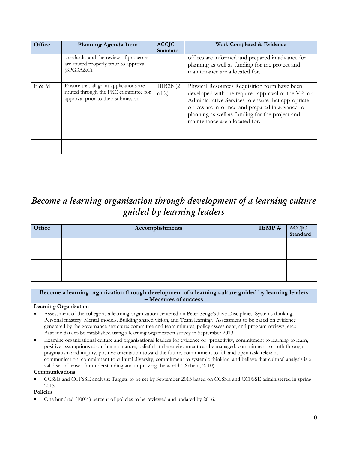| Office | Planning Agenda Item                                                                                                  | <b>ACCJC</b><br>Standard | Work Completed & Evidence                                                                                                                                                                                                                                                                          |
|--------|-----------------------------------------------------------------------------------------------------------------------|--------------------------|----------------------------------------------------------------------------------------------------------------------------------------------------------------------------------------------------------------------------------------------------------------------------------------------------|
|        | standards, and the review of processes<br>are routed properly prior to approval<br>(SPG3A&C).                         |                          | offices are informed and prepared in advance for<br>planning as well as funding for the project and<br>maintenance are allocated for.                                                                                                                                                              |
| F & M  | Ensure that all grant applications are<br>routed through the PRC committee for<br>approval prior to their submission. | IIIB2b(2)<br>of 2)       | Physical Resources Requisition form have been<br>developed with the required approval of the VP for<br>Administrative Services to ensure that appropriate<br>offices are informed and prepared in advance for<br>planning as well as funding for the project and<br>maintenance are allocated for. |
|        |                                                                                                                       |                          |                                                                                                                                                                                                                                                                                                    |
|        |                                                                                                                       |                          |                                                                                                                                                                                                                                                                                                    |
|        |                                                                                                                       |                          |                                                                                                                                                                                                                                                                                                    |

# *Become a learning organization through development of a learning culture guided by learning leaders*

| Office | Accomplishments | $IEMP \#$ | ACCJC<br>Standard |
|--------|-----------------|-----------|-------------------|
|        |                 |           |                   |
|        |                 |           |                   |
|        |                 |           |                   |
|        |                 |           |                   |
|        |                 |           |                   |
|        |                 |           |                   |

**Become a learning organization through development of a learning culture guided by learning leaders – Measures of success**

# **Learning Organization**

- Assessment of the college as a learning organization centered on Peter Senge's Five Disciplines: Systems thinking, Personal mastery, Mental models, Building shared vision, and Team learning. Assessment to be based on evidence generated by the governance structure: committee and team minutes, policy assessment, and program reviews, etc.: Baseline data to be established using a learning organization survey in September 2013.
- Examine organizational culture and organizational leaders for evidence of "proactivity, commitment to learning to learn, positive assumptions about human nature, belief that the environment can be managed, commitment to truth through pragmatism and inquiry, positive orientation toward the future, commitment to full and open task-relevant communication, commitment to cultural diversity, commitment to systemic thinking, and believe that cultural analysis is a valid set of lenses for understanding and improving the world" (Schein, 2010).

**Communications**

 CCSSE and CCFSSE analysis: Targets to be set by September 2013 based on CCSSE and CCFSSE administered in spring 2013.

**Policies**

One hundred (100%) percent of policies to be reviewed and updated by 2016.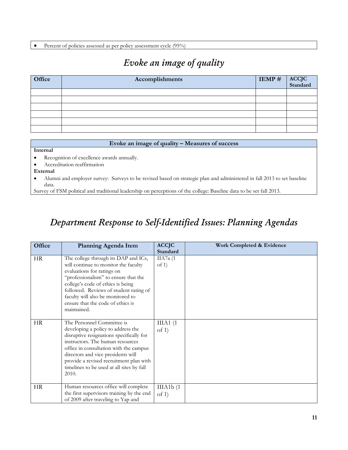Percent of policies assessed as per policy assessment cycle (95%)

# *Evoke an image of quality*

| <b>Office</b> | Accomplishments | $IEMP \#$ | ACCJC<br>Standard |
|---------------|-----------------|-----------|-------------------|
|               |                 |           |                   |
|               |                 |           |                   |
|               |                 |           |                   |
|               |                 |           |                   |
|               |                 |           |                   |
|               |                 |           |                   |

#### **Evoke an image of quality – Measures of success**

#### **Internal**

Recognition of excellence awards annually.

Accreditation reaffirmation

#### **External**

 Alumni and employer survey: Surveys to be revised based on strategic plan and administered in fall 2013 to set baseline data.

Survey of FSM political and traditional leadership on perceptions of the college: Baseline data to be set fall 2013.

# *Department Response to Self-Identified Issues: Planning Agendas*

| Office    | <b>Planning Agenda Item</b>                                                                                                                                                                                                                                                                                                       | <b>ACCJC</b>         | Work Completed & Evidence |
|-----------|-----------------------------------------------------------------------------------------------------------------------------------------------------------------------------------------------------------------------------------------------------------------------------------------------------------------------------------|----------------------|---------------------------|
|           |                                                                                                                                                                                                                                                                                                                                   | Standard             |                           |
| <b>HR</b> | The college through its DAP and ICs,<br>will continue to monitor the faculty<br>evaluations for ratings on<br>"professionalism" to ensure that the<br>college's code of ethics is being<br>followed. Reviews of student rating of<br>faculty will also be monitored to<br>ensure that the code of ethics is<br>maintained.        | IIA7a $(1)$<br>of 1) |                           |
| <b>HR</b> | The Personnel Committee is<br>developing a policy to address the<br>disruptive resignations specifically for<br>instructors. The human resources<br>office in consultation with the campus<br>directors and vice presidents will<br>provide a revised recruitment plan with<br>timelines to be used at all sites by fall<br>2010. | IIIA1(1)<br>of $1)$  |                           |
| HR.       | Human resources office will complete<br>the first supervisors training by the end<br>of 2009 after traveling to Yap and                                                                                                                                                                                                           | IIIA1b(1)<br>of 1)   |                           |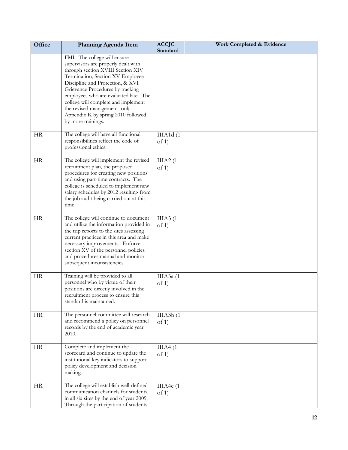| Office    | Planning Agenda Item                                                                                                                                                                                                                                                                                                                                                                             | <b>ACCJC</b><br>Standard | Work Completed & Evidence |
|-----------|--------------------------------------------------------------------------------------------------------------------------------------------------------------------------------------------------------------------------------------------------------------------------------------------------------------------------------------------------------------------------------------------------|--------------------------|---------------------------|
|           | FMI. The college will ensure<br>supervisors are properly dealt with<br>through section XVIII Section XIV<br>Termination, Section XV Employee<br>Discipline and Protection, & XVI<br>Grievance Procedures by tracking<br>employees who are evaluated late. The<br>college will complete and implement<br>the revised management tool;<br>Appendix K by spring 2010 followed<br>by more trainings. |                          |                           |
| <b>HR</b> | The college will have all functional<br>responsibilities reflect the code of<br>professional ethics.                                                                                                                                                                                                                                                                                             | IIIA1d(1<br>of $1)$      |                           |
| <b>HR</b> | The college will implement the revised<br>recruitment plan, the proposed<br>procedures for creating new positions<br>and using part-time contracts. The<br>college is scheduled to implement new<br>salary schedules by 2012 resulting from<br>the job audit being carried out at this<br>time.                                                                                                  | IIIA2(1)<br>of 1)        |                           |
| <b>HR</b> | The college will continue to document<br>and utilize the information provided in<br>the trip reports to the sites assessing<br>current practices in this area and make<br>necessary improvements. Enforce<br>section XV of the personnel policies<br>and procedures manual and monitor<br>subsequent inconsistencies.                                                                            | IIIA3(1)<br>of 1)        |                           |
| <b>HR</b> | Training will be provided to all<br>personnel who by virtue of their<br>positions are directly involved in the<br>recruitment process to ensure this<br>standard is maintained.                                                                                                                                                                                                                  | ШАЗа (1<br>of $1)$       |                           |
| HR        | The personnel committee will research<br>and recommend a policy on personnel<br>records by the end of academic year<br>2010.                                                                                                                                                                                                                                                                     | IIIA3b(1)<br>of $1$ )    |                           |
| <b>HR</b> | Complete and implement the<br>scorecard and continue to update the<br>institutional key indicators to support<br>policy development and decision<br>making.                                                                                                                                                                                                                                      | IIIA4(1)<br>of $1$ )     |                           |
| <b>HR</b> | The college will establish well-defined<br>communication channels for students<br>in all six sites by the end of year 2009.<br>Through the participation of students                                                                                                                                                                                                                             | IIIA4c(1)<br>of $1)$     |                           |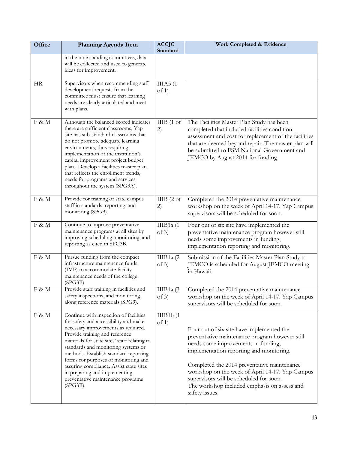| Office    | <b>Planning Agenda Item</b>                                                                                                                                                                                                                                                                                                                                                                                                                                      | <b>ACCJC</b><br>Standard | Work Completed & Evidence                                                                                                                                                                                                                                                                                                                                                                     |
|-----------|------------------------------------------------------------------------------------------------------------------------------------------------------------------------------------------------------------------------------------------------------------------------------------------------------------------------------------------------------------------------------------------------------------------------------------------------------------------|--------------------------|-----------------------------------------------------------------------------------------------------------------------------------------------------------------------------------------------------------------------------------------------------------------------------------------------------------------------------------------------------------------------------------------------|
|           | in the nine standing committees, data<br>will be collected and used to generate<br>ideas for improvement.                                                                                                                                                                                                                                                                                                                                                        |                          |                                                                                                                                                                                                                                                                                                                                                                                               |
| <b>HR</b> | Supervisors when recommending staff<br>development requests from the<br>committee must ensure that learning<br>needs are clearly articulated and meet<br>with plans.                                                                                                                                                                                                                                                                                             | IIIA5(1)<br>of 1)        |                                                                                                                                                                                                                                                                                                                                                                                               |
| F & M     | Although the balanced scored indicates<br>there are sufficient classrooms, Yap<br>site has sub-standard classrooms that<br>do not promote adequate learning<br>environments, thus requiring<br>implementation of the institution's<br>capital improvement project budget<br>plan. Develop a facilities master plan<br>that reflects the enrollment trends,<br>needs for programs and services<br>throughout the system (SPG3A).                                  | IIIB(1 of<br>2)          | The Facilities Master Plan Study has been<br>completed that included facilities condition<br>assessment and cost for replacement of the facilities<br>that are deemed beyond repair. The master plan will<br>be submitted to FSM National Government and<br>JEMCO by August 2014 for funding.                                                                                                 |
| F & M     | Provide for training of state campus<br>staff in standards, reporting, and<br>monitoring (SPG9).                                                                                                                                                                                                                                                                                                                                                                 | IIIB(2 of<br>2)          | Completed the 2014 preventative maintenance<br>workshop on the week of April 14-17. Yap Campus<br>supervisors will be scheduled for soon.                                                                                                                                                                                                                                                     |
| F & M     | Continue to improve preventative<br>maintenance programs at all sites by<br>improving scheduling, monitoring, and<br>reporting as cited in SPG3B.                                                                                                                                                                                                                                                                                                                | IIIB1 $a(1)$<br>of $3)$  | Four out of six site have implemented the<br>preventative maintenance program however still<br>needs some improvements in funding,<br>implementation reporting and monitoring.                                                                                                                                                                                                                |
| F & M     | Pursue funding from the compact<br>infrastructure maintenance funds<br>(IMF) to accommodate facility<br>maintenance needs of the college<br>(SPG3B)                                                                                                                                                                                                                                                                                                              | IIIB1a (2<br>of $3)$     | Submission of the Facilities Master Plan Study to<br>JEMCO is scheduled for August JEMCO meeting<br>in Hawaii.                                                                                                                                                                                                                                                                                |
| F & M     | Provide staff training in facilities and<br>safety inspections, and monitoring<br>along reference materials (SPG9).                                                                                                                                                                                                                                                                                                                                              | IIIB1a $(3)$<br>of $3)$  | Completed the 2014 preventative maintenance<br>workshop on the week of April 14-17. Yap Campus<br>supervisors will be scheduled for soon.                                                                                                                                                                                                                                                     |
| F & M     | Continue with inspection of facilities<br>for safety and accessibility and make<br>necessary improvements as required.<br>Provide training and reference<br>materials for state sites' staff relating to<br>standards and monitoring systems or<br>methods. Establish standard reporting<br>forms for purposes of monitoring and<br>assuring compliance. Assist state sites<br>in preparing and implementing<br>preventative maintenance programs<br>$(SPG3B)$ . | IIIB1b(1)<br>of $1)$     | Four out of six site have implemented the<br>preventative maintenance program however still<br>needs some improvements in funding,<br>implementation reporting and monitoring.<br>Completed the 2014 preventative maintenance<br>workshop on the week of April 14-17. Yap Campus<br>supervisors will be scheduled for soon.<br>The workshop included emphasis on assess and<br>safety issues. |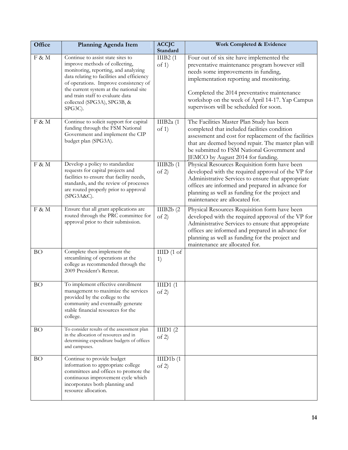| Office    | <b>Planning Agenda Item</b>                                                                                                                                                                                                                                                                                                 | <b>ACCJC</b><br>Standard | Work Completed & Evidence                                                                                                                                                                                                                                                                                                   |
|-----------|-----------------------------------------------------------------------------------------------------------------------------------------------------------------------------------------------------------------------------------------------------------------------------------------------------------------------------|--------------------------|-----------------------------------------------------------------------------------------------------------------------------------------------------------------------------------------------------------------------------------------------------------------------------------------------------------------------------|
| F & M     | Continue to assist state sites to<br>improve methods of collecting,<br>monitoring, reporting, and analyzing<br>data relating to facilities and efficiency<br>of operations. Improve consistency of<br>the current system at the national site<br>and train staff to evaluate data<br>collected (SPG3A), SPG3B, &<br>SPG3C). | IIIB2(1)<br>of 1)        | Four out of six site have implemented the<br>preventative maintenance program however still<br>needs some improvements in funding,<br>implementation reporting and monitoring.<br>Completed the 2014 preventative maintenance<br>workshop on the week of April 14-17. Yap Campus<br>supervisors will be scheduled for soon. |
| F & M     | Continue to solicit support for capital<br>funding through the FSM National<br>Government and implement the CIP<br>budget plan (SPG3A).                                                                                                                                                                                     | IIIB2a $(1)$<br>of 1)    | The Facilities Master Plan Study has been<br>completed that included facilities condition<br>assessment and cost for replacement of the facilities<br>that are deemed beyond repair. The master plan will<br>be submitted to FSM National Government and<br>JEMCO by August 2014 for funding.                               |
| F & M     | Develop a policy to standardize<br>requests for capital projects and<br>facilities to ensure that facility needs,<br>standards, and the review of processes<br>are routed properly prior to approval<br>(SPG3A&C).                                                                                                          | IIIB2b(1)<br>of 2)       | Physical Resources Requisition form have been<br>developed with the required approval of the VP for<br>Administrative Services to ensure that appropriate<br>offices are informed and prepared in advance for<br>planning as well as funding for the project and<br>maintenance are allocated for.                          |
| F & M     | Ensure that all grant applications are<br>routed through the PRC committee for<br>approval prior to their submission.                                                                                                                                                                                                       | IIIB2b(2)<br>of 2)       | Physical Resources Requisition form have been<br>developed with the required approval of the VP for<br>Administrative Services to ensure that appropriate<br>offices are informed and prepared in advance for<br>planning as well as funding for the project and<br>maintenance are allocated for.                          |
| <b>BO</b> | Complete then implement the<br>streamlining of operations at the<br>college as recommended through the<br>2009 President's Retreat.                                                                                                                                                                                         | IIID(1 of<br>1)          |                                                                                                                                                                                                                                                                                                                             |
| <b>BO</b> | To implement effective enrollment<br>management to maximize the services<br>provided by the college to the<br>community and eventually generate<br>stable financial resources for the<br>college.                                                                                                                           | HID1(1)<br>of 2)         |                                                                                                                                                                                                                                                                                                                             |
| <b>BO</b> | To consider results of the assessment plan<br>in the allocation of resources and in<br>determining expenditure budgets of offices<br>and campuses.                                                                                                                                                                          | IIID1(2)<br>of 2)        |                                                                                                                                                                                                                                                                                                                             |
| <b>BO</b> | Continue to provide budget<br>information to appropriate college<br>committees and offices to promote the<br>continuous improvement cycle which<br>incorporates both planning and<br>resource allocation.                                                                                                                   | IIID1b(1)<br>of 2)       |                                                                                                                                                                                                                                                                                                                             |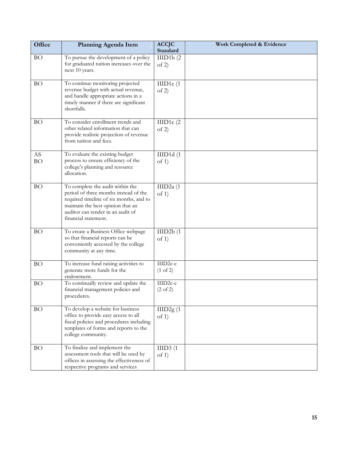| Office          | Planning Agenda Item                                                                                                                                                                                                   | <b>ACCJC</b><br>Standard                    | Work Completed & Evidence |
|-----------------|------------------------------------------------------------------------------------------------------------------------------------------------------------------------------------------------------------------------|---------------------------------------------|---------------------------|
| <b>BO</b>       | To pursue the development of a policy<br>for graduated tuition increases over the<br>next 10 years.                                                                                                                    | IIID1b(2)<br>of 2)                          |                           |
| <b>BO</b>       | To continue monitoring projected<br>revenue budget with actual revenue,<br>and handle appropriate actions in a<br>timely manner if there are significant<br>shortfalls.                                                | IIID1 $c(1)$<br>of 2)                       |                           |
| <b>BO</b>       | To consider enrollment trends and<br>other related information that can<br>provide realistic projection of revenue<br>from tuition and fees.                                                                           | IIID1 $c(2)$<br>of 2)                       |                           |
| AS<br><b>BO</b> | To evaluate the existing budget<br>process to ensure efficiency of the<br>college's planning and resource<br>allocation.                                                                                               | IIID1d(1)<br>of 1)                          |                           |
| <b>BO</b>       | To complete the audit within the<br>period of three months instead of the<br>required timeline of six months, and to<br>maintain the best opinion that an<br>auditor can render in an audit of<br>financial statement. | IIID2a (1<br>of 1)                          |                           |
| <b>BO</b>       | To create a Business Office webpage<br>so that financial reports can be<br>conveniently accessed by the college<br>community at any time.                                                                              | IIID2b(1)<br>of 1)                          |                           |
| <b>BO</b>       | To increase fund raising activities to<br>generate more funds for the<br>endowment.                                                                                                                                    | IIID2c-e<br>$(1 \text{ of } 2)$             |                           |
| BО              | To continually review and update the<br>financial management policies and<br>procedures.                                                                                                                               | IIID <sub>2c-e</sub><br>$(2 \text{ of } 2)$ |                           |
| <b>BO</b>       | To develop a website for business<br>office to provide easy access to all<br>fiscal policies and procedures including<br>templates of forms and reports to the<br>college community.                                   | IIID2g(1)<br>of $1)$                        |                           |
| <b>BO</b>       | To finalize and implement the<br>assessment tools that will be used by<br>offices in assessing the effectiveness of<br>respective programs and services                                                                | IIID3(1)<br>of 1)                           |                           |